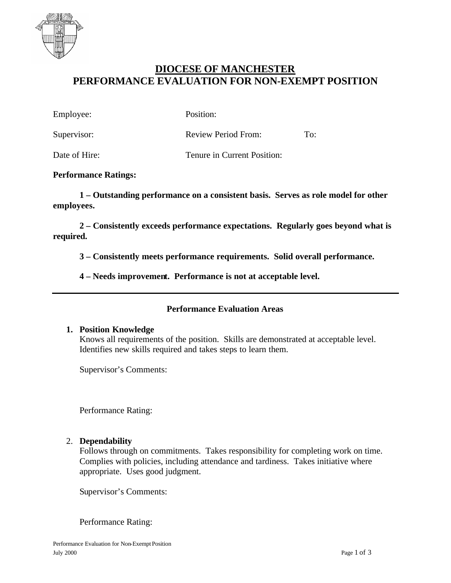

# **DIOCESE OF MANCHESTER PERFORMANCE EVALUATION FOR NON-EXEMPT POSITION**

| Employee:     | Position:                   |     |
|---------------|-----------------------------|-----|
| Supervisor:   | Review Period From:         | To: |
| Date of Hire: | Tenure in Current Position: |     |

#### **Performance Ratings:**

**1 – Outstanding performance on a consistent basis. Serves as role model for other employees.**

**2 – Consistently exceeds performance expectations. Regularly goes beyond what is required.**

**3 – Consistently meets performance requirements. Solid overall performance.**

**4 – Needs improvement. Performance is not at acceptable level.**

## **Performance Evaluation Areas**

#### **1. Position Knowledge**

Knows all requirements of the position. Skills are demonstrated at acceptable level. Identifies new skills required and takes steps to learn them.

Supervisor's Comments:

Performance Rating:

#### 2. **Dependability**

Follows through on commitments. Takes responsibility for completing work on time. Complies with policies, including attendance and tardiness. Takes initiative where appropriate. Uses good judgment.

Supervisor's Comments:

Performance Rating: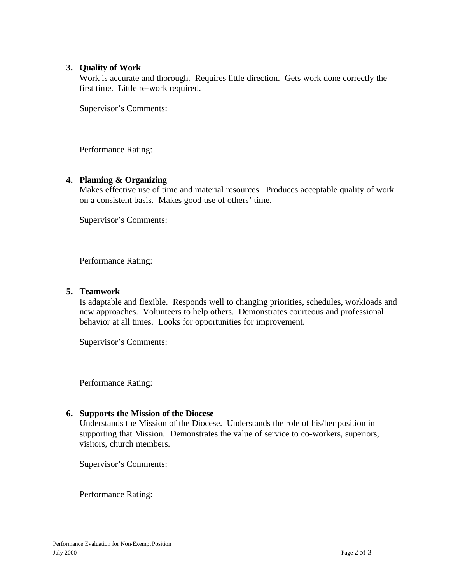## **3. Quality of Work**

Work is accurate and thorough. Requires little direction. Gets work done correctly the first time. Little re-work required.

Supervisor's Comments:

Performance Rating:

## **4. Planning & Organizing**

Makes effective use of time and material resources. Produces acceptable quality of work on a consistent basis. Makes good use of others' time.

Supervisor's Comments:

Performance Rating:

## **5. Teamwork**

Is adaptable and flexible. Responds well to changing priorities, schedules, workloads and new approaches. Volunteers to help others. Demonstrates courteous and professional behavior at all times. Looks for opportunities for improvement.

Supervisor's Comments:

Performance Rating:

## **6. Supports the Mission of the Diocese**

Understands the Mission of the Diocese. Understands the role of his/her position in supporting that Mission. Demonstrates the value of service to co-workers, superiors, visitors, church members.

Supervisor's Comments:

Performance Rating: